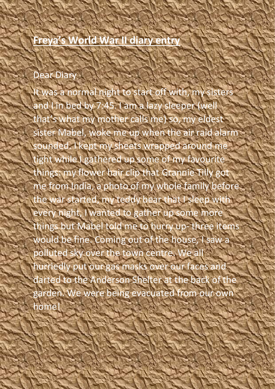## **Freya's World War II diary entry**

## Dear Diary

was a normal night to start off with, my sisters and I in bed by 7:45. I am a lazy sleeper (well that's what my mother calls me) so, my eldest sister Mabel, woke me up when the air raid alarm sounded. I kept my sheets wrapped around me tight while I gathered up some of my favourite things: my flower hair clip that Grannie Tilly got me from India, a photo of my whole family before the war started, my teddy bear that I sleep with every night, I wanted to gather up some more things but Mabel told me to hurry up- three items would be fine. Coming out of the house, I saw a polluted sky over the town centre. We a hurriedly put our gas masks over our faces and darted to the Anderson Shelter at the back of the garden. We were being evacuated from our own home!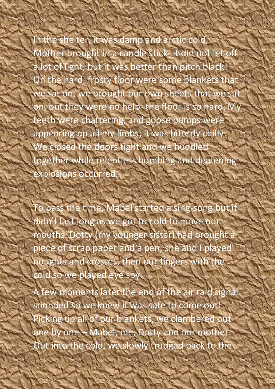In the shelter, it was damp and arctic cold; Mother brought in a candle stick- it did not let off lot of light, but it was better than pitch black! On the hard, frosty floor were some blankets that e sat on; we brought our own sheets that we sat on, but they were no help- the floor is so hard. My teeth were chattering, and goose bumps were appearing up all my limbs; it was bitterly chilly. We closed the doors tight and we huddled together while relentless bombing and deafening explosions occurred.

To pass the time, Mabel started a sing-song but it didn't last long as we got to cold to move ou mouths. Dotty (my younger sister) had brought a piece of scrap paper and a pen; she and I played noughts and crosses, then our fingers with the cold so we played eye spy.

A few moments later the end of the air raid signal sounded so we knew it was safe to come out! Picking up all of our blankets, we clambered out one by one – Mabel, me, Dotty and our mother. Out into the cold, we slowly trudged back to the